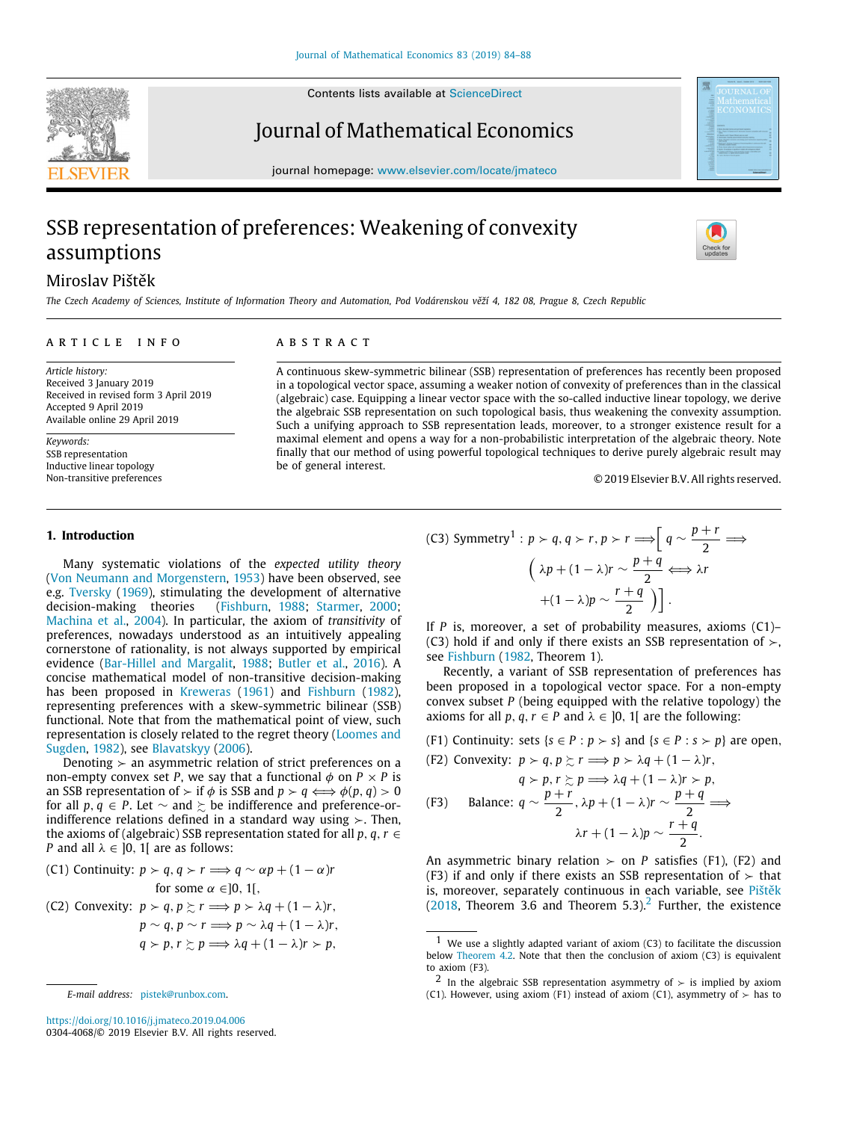

Contents lists available at [ScienceDirect](http://www.elsevier.com/locate/jmateco)

## Journal of Mathematical Economics

journal homepage: [www.elsevier.com/locate/jmateco](http://www.elsevier.com/locate/jmateco)

# SSB representation of preferences: Weakening of convexity assumptions



### Miroslav Pištěk

*The Czech Academy of Sciences, Institute of Information Theory and Automation, Pod Vodárenskou věží 4, 182 08, Prague 8, Czech Republic*

#### a r t i c l e i n f o

*Article history:* Received 3 January 2019 Received in revised form 3 April 2019 Accepted 9 April 2019 Available online 29 April 2019

*Keywords:* SSB representation Inductive linear topology Non-transitive preferences

#### a b s t r a c t

A continuous skew-symmetric bilinear (SSB) representation of preferences has recently been proposed in a topological vector space, assuming a weaker notion of convexity of preferences than in the classical (algebraic) case. Equipping a linear vector space with the so-called inductive linear topology, we derive the algebraic SSB representation on such topological basis, thus weakening the convexity assumption. Such a unifying approach to SSB representation leads, moreover, to a stronger existence result for a maximal element and opens a way for a non-probabilistic interpretation of the algebraic theory. Note finally that our method of using powerful topological techniques to derive purely algebraic result may be of general interest.

© 2019 Elsevier B.V. All rights reserved.

### **1. Introduction**

Many systematic violations of the *expected utility theory* ([Von Neumann and Morgenstern](#page-4-0), [1953](#page-4-0)) have been observed, see e.g. [Tversky](#page-4-1) ([1969\)](#page-4-1), stimulating the development of alternative decision-making theories [\(Fishburn,](#page-4-2) [1988;](#page-4-2) [Starmer,](#page-4-3) [2000;](#page-4-3) [Machina et al.](#page-4-4), [2004](#page-4-4)). In particular, the axiom of *transitivity* of preferences, nowadays understood as an intuitively appealing cornerstone of rationality, is not always supported by empirical evidence ([Bar-Hillel and Margalit,](#page-3-0) [1988;](#page-3-0) [Butler et al.](#page-3-1), [2016](#page-3-1)). A concise mathematical model of non-transitive decision-making has been proposed in [Kreweras](#page-4-5) [\(1961\)](#page-4-5) and [Fishburn](#page-4-6) ([1982\)](#page-4-6), representing preferences with a skew-symmetric bilinear (SSB) functional. Note that from the mathematical point of view, such representation is closely related to the regret theory ([Loomes and](#page-4-7) [Sugden,](#page-4-7) [1982\)](#page-4-7), see [Blavatskyy](#page-3-2) ([2006\)](#page-3-2).

Denoting  $>$  an asymmetric relation of strict preferences on a non-empty convex set *P*, we say that a functional  $\phi$  on  $P \times P$  is an SSB representation of  $\succ$  if  $\phi$  is SSB and  $p \succ q \Longleftrightarrow \phi(p, q) > 0$ for all *p*,  $q \in P$ . Let  $\sim$  and  $\succeq$  be indifference and preference-orindifference relations defined in a standard way using ≻. Then, the axioms of (algebraic) SSB representation stated for all  $p, q, r \in$ *P* and all  $\lambda \in [0, 1]$  are as follows:

\n- (C1) Continuity: 
$$
p > q
$$
,  $q > r \implies q \sim \alpha p + (1 - \alpha)r$  for some  $\alpha \in ]0, 1[$ ,
\n- (C2) Convexity:  $p > q$ ,  $p \succ r \implies p > \lambda q + (1 - \lambda)r$ ,  $p \sim q$ ,  $p \sim r \implies p \sim \lambda q + (1 - \lambda)r$ ,  $q > p$ ,  $r \succsim p \implies \lambda q + (1 - \lambda)r > p$ ,
\n

(C3) Symmetry<sup>1</sup>: 
$$
p > q, q > r, p > r \Longrightarrow \left[ q \sim \frac{p+r}{2} \Longrightarrow
$$
  
\n
$$
\left( \lambda p + (1-\lambda)r \sim \frac{p+q}{2} \Longleftrightarrow \lambda r + (1-\lambda)p \sim \frac{r+q}{2} \right) \right].
$$

If *P* is, moreover, a set of probability measures, axioms (C1)– (C3) hold if and only if there exists an SSB representation of  $\succ$ , see [Fishburn](#page-4-6) [\(1982,](#page-4-6) Theorem 1).

Recently, a variant of SSB representation of preferences has been proposed in a topological vector space. For a non-empty convex subset *P* (being equipped with the relative topology) the axioms for all  $p, q, r \in P$  and  $\lambda \in [0, 1]$  are the following:

(F1) Continuity: sets  $\{s \in P : p > s\}$  and  $\{s \in P : s > p\}$  are open,

(F2) Convexity: 
$$
p > q, p \geq r \implies p > \lambda q + (1 - \lambda)r
$$
,

\n
$$
q > p, r \geq p \implies \lambda q + (1 - \lambda)r > p,
$$
\n(F3) Balance:  $q \sim \frac{p+r}{2}, \lambda p + (1 - \lambda)r \sim \frac{p+q}{2} \implies \lambda r + (1 - \lambda)p \sim \frac{r+q}{2}.$ 

An asymmetric binary relation  $\succ$  on *P* satisfies (F1), (F2) and (F3) if and only if there exists an SSB representation of  $\succ$  that is, moreover, separately continuous in each variable, see [Pištěk](#page-4-8)  $(2018,$  $(2018,$  Theorem 3.6 and Theorem 5.3).<sup>[2](#page-0-0)</sup> Further, the existence

*E-mail address:* [pistek@runbox.com.](mailto:pistek@runbox.com)

<https://doi.org/10.1016/j.jmateco.2019.04.006> 0304-4068/© 2019 Elsevier B.V. All rights reserved.

 $1$  We use a slightly adapted variant of axiom (C3) to facilitate the discussion below [Theorem](#page-2-0) [4.2.](#page-2-0) Note that then the conclusion of axiom (C3) is equivalent to axiom (F3).

<span id="page-0-0"></span><sup>&</sup>lt;sup>2</sup> In the algebraic SSB representation asymmetry of  $\succ$  is implied by axiom (C1). However, using axiom (F1) instead of axiom (C1), asymmetry of  $\succ$  has to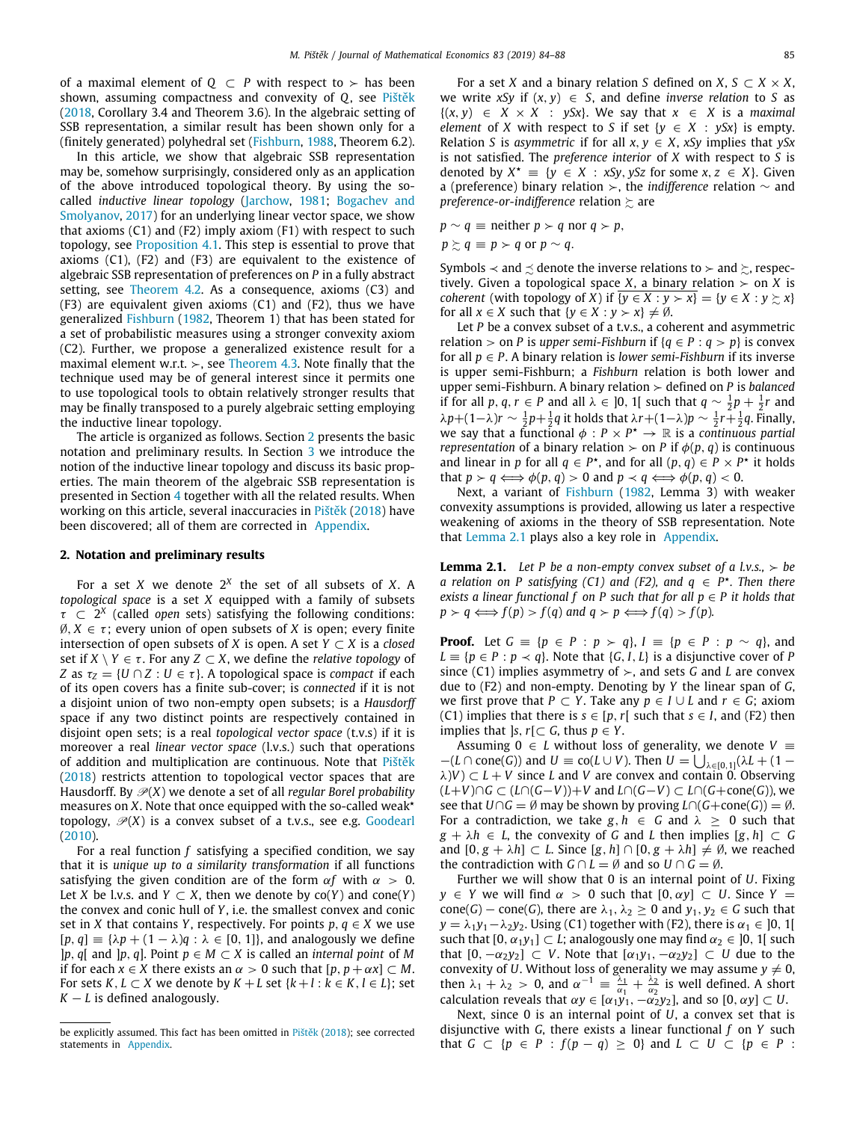of a maximal element of  $O \subset P$  with respect to  $\succ$  has been shown, assuming compactness and convexity of *Q*, see [Pištěk](#page-4-8) ([2018,](#page-4-8) Corollary 3.4 and Theorem 3.6). In the algebraic setting of SSB representation, a similar result has been shown only for a (finitely generated) polyhedral set [\(Fishburn,](#page-4-2) [1988](#page-4-2), Theorem 6.2).

In this article, we show that algebraic SSB representation may be, somehow surprisingly, considered only as an application of the above introduced topological theory. By using the socalled *inductive linear topology* ([Jarchow,](#page-4-9) [1981;](#page-4-9) [Bogachev and](#page-3-3) [Smolyanov,](#page-3-3) [2017](#page-3-3)) for an underlying linear vector space, we show that axioms (C1) and (F2) imply axiom (F1) with respect to such topology, see [Proposition](#page-2-1) [4.1.](#page-2-1) This step is essential to prove that axioms (C1), (F2) and (F3) are equivalent to the existence of algebraic SSB representation of preferences on *P* in a fully abstract setting, see [Theorem](#page-2-0) [4.2](#page-2-0). As a consequence, axioms (C3) and (F3) are equivalent given axioms (C1) and (F2), thus we have generalized [Fishburn](#page-4-6) [\(1982](#page-4-6), Theorem 1) that has been stated for a set of probabilistic measures using a stronger convexity axiom (C2). Further, we propose a generalized existence result for a maximal element w.r.t.  $>$ , see [Theorem](#page-2-2) [4.3](#page-2-2). Note finally that the technique used may be of general interest since it permits one to use topological tools to obtain relatively stronger results that may be finally transposed to a purely algebraic setting employing the inductive linear topology.

The article is organized as follows. Section [2](#page-1-0) presents the basic notation and preliminary results. In Section [3](#page-2-3) we introduce the notion of the inductive linear topology and discuss its basic properties. The main theorem of the algebraic SSB representation is presented in Section [4](#page-2-4) together with all the related results. When working on this article, several inaccuracies in [Pištěk](#page-4-8) ([2018\)](#page-4-8) have been discovered; all of them are corrected in [Appendix.](#page-3-4)

#### **2. Notation and preliminary results**

<span id="page-1-0"></span>For a set *X* we denote 2*<sup>X</sup>* the set of all subsets of *X*. A *topological space* is a set *X* equipped with a family of subsets  $\tau \subset 2^X$  (called *open* sets) satisfying the following conditions:  $\emptyset, X \in \tau$ ; every union of open subsets of *X* is open; every finite intersection of open subsets of *X* is open. A set  $Y \subset X$  is a *closed* set if  $X \setminus Y \in \tau$ . For any  $Z \subset X$ , we define the *relative topology* of *Z* as  $\tau$ <sub>*Z*</sub> = {*U* ∩ *Z* : *U* ∈  $\tau$ }. A topological space is *compact* if each of its open covers has a finite sub-cover; is *connected* if it is not a disjoint union of two non-empty open subsets; is a *Hausdorff* space if any two distinct points are respectively contained in disjoint open sets; is a real *topological vector space* (t.v.s) if it is moreover a real *linear vector space* (l.v.s.) such that operations of addition and multiplication are continuous. Note that [Pištěk](#page-4-8) ([2018\)](#page-4-8) restricts attention to topological vector spaces that are Hausdorff. By  $\mathcal{P}(X)$  we denote a set of all *regular Borel probability* measures on  $X$ . Note that once equipped with the so-called weak<sup> $\star$ </sup> topology,  $\mathcal{P}(X)$  is a convex subset of a t.v.s., see e.g. [Goodearl](#page-4-10) ([2010\)](#page-4-10).

For a real function *f* satisfying a specified condition, we say that it is *unique up to a similarity transformation* if all functions satisfying the given condition are of the form  $\alpha f$  with  $\alpha > 0$ . Let *X* be l.v.s. and *Y*  $\subset$  *X*, then we denote by co(*Y*) and cone(*Y*) the convex and conic hull of *Y*, i.e. the smallest convex and conic set in *X* that contains *Y*, respectively. For points  $p, q \in X$  we use  $[p, q] \equiv {\lambda p + (1 - \lambda)q : \lambda \in [0, 1]}$ , and analogously we define ]*p*, *q*[ and ]*p*, *q*]. Point *p* ∈ *M* ⊂ *X* is called an *internal point* of *M* if for each  $x \in X$  there exists an  $\alpha > 0$  such that  $[p, p + \alpha x] \subset M$ . For sets  $K, L \subset X$  we denote by  $K + L$  set  $\{k+1 : k \in K, l \in L\}$ ; set  $K - L$  is defined analogously.

For a set *X* and a binary relation *S* defined on *X*, *S*  $\subset$  *X*  $\times$  *X*, we write *xSy* if  $(x, y) \in S$ , and define *inverse relation* to *S* as  ${(x, y) \in X \times X : ySx}.$  We say that  $x \in X$  is a *maximal element* of *X* with respect to *S* if set  $\{y \in X : ySx\}$  is empty. Relation *S* is *asymmetric* if for all  $x, y \in X$ , *xSy* implies that *ySx* is not satisfied. The *preference interior* of *X* with respect to *S* is denoted by  $X^* = \{y \in X : xSy, ySz \text{ for some } x, z \in X\}.$  Given a (preference) binary relation ≻, the *indifference* relation ∼ and *preference-or-indifference* relation ≿ are

$$
p \sim q \equiv \text{neither } p \succ q \text{ nor } q \succ p,
$$
  

$$
p \succsim q \equiv p \succ q \text{ or } p \sim q.
$$

Symbols  $\prec$  and  $\preceq$  denote the inverse relations to  $\succ$  and  $\succsim$ , respectively. Given a topological space *X*, a binary relation  $\geq$  on *X* is *coherent* (with topology of *X*) if  $\{y \in X : y \succ x\} = \{y \in X : y \succ x\}$ for all  $x \in X$  such that  $\{y \in X : y \succ x\} \neq \emptyset$ .

Let *P* be a convex subset of a t.v.s., a coherent and asymmetric relation > on *P* is *upper semi-Fishburn* if  ${q \in P : q > p}$  is convex for all  $p \in P$ . A binary relation is *lower semi-Fishburn* if its inverse is upper semi-Fishburn; a *Fishburn* relation is both lower and upper semi-Fishburn. A binary relation ≻ defined on *P* is *balanced* if for all *p*, *q*, *r* ∈ *P* and all  $\lambda$  ∈ ]0, 1[ such that  $q \sim \frac{1}{2}p + \frac{1}{2}r$  and  $λp+(1-λ)r$  ∼  $\frac{1}{2}p+\frac{1}{2}q$  it holds that  $λr+(1-λ)p$  ∼  $\frac{1}{2}r+\frac{1}{2}q$ . Finally, we say that a functional  $\phi : P \times P^* \to \mathbb{R}$  is a *continuous partial representation* of a binary relation  $\geq$  on *P* if  $\phi(p, q)$  is continuous and linear in *p* for all  $q \in P^*$ , and for all  $(p, q) \in P \times P^*$  it holds that  $p > q \Longleftrightarrow \phi(p, q) > 0$  and  $p \prec q \Longleftrightarrow \phi(p, q) < 0$ .

Next, a variant of [Fishburn](#page-4-6) ([1982,](#page-4-6) Lemma 3) with weaker convexity assumptions is provided, allowing us later a respective weakening of axioms in the theory of SSB representation. Note that [Lemma](#page-1-1) [2.1](#page-1-1) plays also a key role in [Appendix.](#page-3-4)

<span id="page-1-1"></span>**Lemma 2.1.** *Let P be a non-empty convex subset of a l.v.s.,*  $>$  *be a* relation on P satisfying (C1) and (F2), and  $q \in P^*$ . Then there *exists a linear functional f on P such that for all p* ∈ *P it holds that*  $p > q \Longleftrightarrow f(p) > f(q)$  and  $q > p \Longleftrightarrow f(q) > f(p)$ .

**Proof.** Let *G* ≡ { $p$  ∈ *P* :  $p$  ≻ *q*}, *I* ≡ { $p$  ∈ *P* :  $p$  ∼ *q*}, and  $L \equiv \{p \in P : p \prec q\}$ . Note that  $\{G, I, L\}$  is a disjunctive cover of *P* since (C1) implies asymmetry of ≻, and sets *G* and *L* are convex due to (F2) and non-empty. Denoting by *Y* the linear span of *G*, we first prove that *P* ⊂ *Y*. Take any  $p \in I \cup L$  and  $r \in G$ ; axiom (C1) implies that there is  $s \in [p, r]$  such that  $s \in I$ , and (F2) then implies that *]s*, *r*[⊂ *G*, thus *p* ∈ *Y*.

Assuming 0  $\in$  *L* without loss of generality, we denote  $V \equiv$  $-(L \cap \text{cone}(G))$  and  $U \equiv \text{co}(L \cup V)$ . Then  $U = \bigcup_{\lambda \in [0,1]} (\lambda L + (1 \lambda$ )*V*)  $\subset$  *L* + *V* since *L* and *V* are convex and contain 0. Observing (*L*+*V*)∩*G* ⊂ (*L*∩(*G*−*V*))+*V* and *L*∩(*G*−*V*) ⊂ *L*∩(*G*+cone(*G*)), we see that  $U \cap G = \emptyset$  may be shown by proving  $L \cap (G + \text{cone}(G)) = \emptyset$ . For a contradiction, we take  $g, h \in G$  and  $\lambda \geq 0$  such that  $g + \lambda h \in L$ , the convexity of *G* and *L* then implies  $[g, h] \subset G$ and  $[0, g + \lambda h] \subset L$ . Since  $[g, h] \cap [0, g + \lambda h] \neq \emptyset$ , we reached the contradiction with  $G \cap L = \emptyset$  and so  $U \cap G = \emptyset$ .

Further we will show that 0 is an internal point of *U*. Fixing  $y \in Y$  we will find  $\alpha > 0$  such that  $[0, \alpha y] \subset U$ . Since  $Y =$ cone(*G*) – cone(*G*), there are  $\lambda_1, \lambda_2 \geq 0$  and  $y_1, y_2 \in G$  such that *y* = λ<sub>1</sub>*y*<sub>1</sub> − λ<sub>2</sub>*y*<sub>2</sub>. Using (C1) together with (F2), there is α<sub>1</sub> ∈ ]0, 1[ such that  $[0, \alpha_1 y_1] \subset L$ ; analogously one may find  $\alpha_2 \in [0, 1]$  such that  $[0, -\alpha_2 y_2] \subset V$ . Note that  $[\alpha_1 y_1, -\alpha_2 y_2] \subset U$  due to the convexity of *U*. Without loss of generality we may assume  $y \neq 0$ , then  $\lambda_1 + \lambda_2 > 0$ , and  $\alpha^{-1} \equiv \frac{\lambda_1}{\alpha_1} + \frac{\lambda_2}{\alpha_2}$  is well defined. A short calculation reveals that  $\alpha y \in [\alpha_1 y_1, -\alpha_2 y_2]$ , and so  $[0, \alpha y] \subset U$ .

Next, since 0 is an internal point of *U*, a convex set that is disjunctive with *G*, there exists a linear functional *f* on *Y* such that *G* ⊂ { $p \in P$  :  $f(p - q) \ge 0$ } and  $L \subset U \subset \{p \in P$  :

be explicitly assumed. This fact has been omitted in [Pištěk](#page-4-8) ([2018](#page-4-8)); see corrected statements in [Appendix](#page-3-4).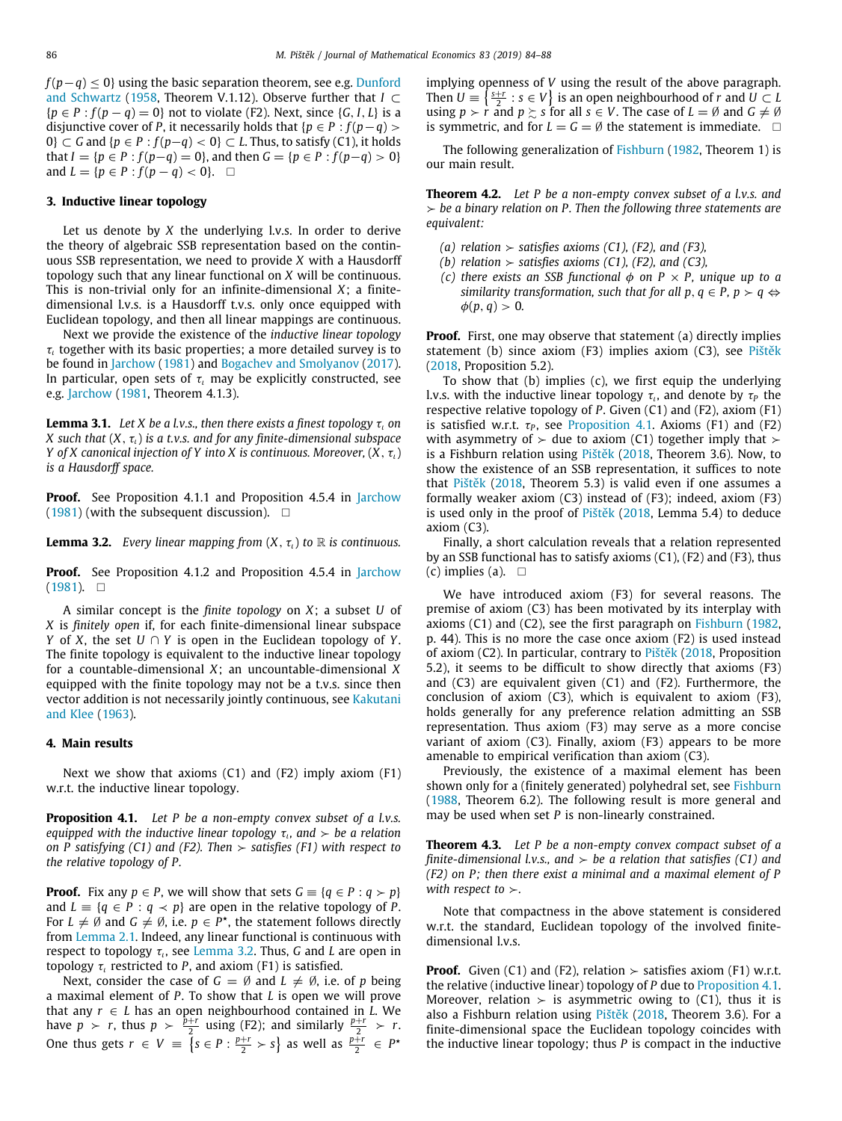*f* (*p*−*q*) < 0} using the basic separation theorem, see e.g. [Dunford](#page-4-11) [and Schwartz](#page-4-11) ([1958](#page-4-11), Theorem V.1.12). Observe further that *I* ⊂  ${p \in P : f(p - q) = 0}$  not to violate (F2). Next, since  ${G, I, L}$  is a disjunctive cover of *P*, it necessarily holds that  ${p \in P : f(p-q) >}$ 0} ⊂ *G* and { $p \in P$  :  $f(p-q) < 0$ } ⊂ *L*. Thus, to satisfy (C1), it holds that *I* = { $p ∈ P : f(p-q) = 0$ }, and then  $G = {p ∈ P : f(p-q) > 0}$ and  $L = \{p \in P : f(p - q) < 0\}$ . □

#### **3. Inductive linear topology**

<span id="page-2-3"></span>Let us denote by *X* the underlying l.v.s. In order to derive the theory of algebraic SSB representation based on the continuous SSB representation, we need to provide *X* with a Hausdorff topology such that any linear functional on *X* will be continuous. This is non-trivial only for an infinite-dimensional *X*; a finitedimensional l.v.s. is a Hausdorff t.v.s. only once equipped with Euclidean topology, and then all linear mappings are continuous.

Next we provide the existence of the *inductive linear topology*  $\tau$ <sub> $\iota$ </sub> together with its basic properties; a more detailed survey is to be found in [Jarchow](#page-4-9) [\(1981\)](#page-4-9) and [Bogachev and Smolyanov](#page-3-3) ([2017\)](#page-3-3). In particular, open sets of  $\tau$ <sub>l</sub> may be explicitly constructed, see e.g. [Jarchow](#page-4-9) [\(1981](#page-4-9), Theorem 4.1.3).

**Lemma 3.1.** *Let X be a l.v.s., then there exists a finest topology*  $\tau$ , *on X* such that  $(X, \tau)$  *is a t.v.s. and for any finite-dimensional subspace Y* of *X* canonical injection of *Y* into *X* is continuous. Moreover,  $(X, \tau)$ *is a Hausdorff space.*

**Proof.** See Proposition 4.1.1 and Proposition 4.5.4 in [Jarchow](#page-4-9) ([1981\)](#page-4-9) (with the subsequent discussion).  $\square$ 

<span id="page-2-5"></span>**Lemma 3.2.** *Every linear mapping from*  $(X, \tau)$  *to*  $\mathbb R$  *is continuous.* 

**Proof.** See Proposition 4.1.2 and Proposition 4.5.4 in [Jarchow](#page-4-9)  $(1981)$  $(1981)$ . □

A similar concept is the *finite topology* on *X*; a subset *U* of *X* is *finitely open* if, for each finite-dimensional linear subspace *Y* of *X*, the set *U* ∩ *Y* is open in the Euclidean topology of *Y*. The finite topology is equivalent to the inductive linear topology for a countable-dimensional *X*; an uncountable-dimensional *X* equipped with the finite topology may not be a t.v.s. since then vector addition is not necessarily jointly continuous, see [Kakutani](#page-4-12) [and Klee](#page-4-12) [\(1963](#page-4-12)).

#### **4. Main results**

<span id="page-2-4"></span>Next we show that axioms (C1) and (F2) imply axiom (F1) w.r.t. the inductive linear topology.

**Proposition 4.1.** *Let P be a non-empty convex subset of a l.v.s.*  $\epsilon$ *equipped with the inductive linear topology*  $\tau_{i}$ *, and*  $\succ$  *be a relation on P satisfying (C1) and (F2). Then* ≻ *satisfies (F1) with respect to the relative topology of P.*

**Proof.** Fix any  $p \in P$ , we will show that sets  $G \equiv \{q \in P : q > p\}$ and  $L \equiv \{q \in P : q \prec p\}$  are open in the relative topology of *P*. For  $L \neq \emptyset$  and  $G \neq \emptyset$ , i.e.  $p \in P^*$ , the statement follows directly from [Lemma](#page-1-1) [2.1.](#page-1-1) Indeed, any linear functional is continuous with respect to topology  $τ_{\iota}$ , see [Lemma](#page-2-5) [3.2.](#page-2-5) Thus, *G* and *L* are open in topology  $\tau$ <sub>*l*</sub> restricted to *P*, and axiom (F1) is satisfied.

Next, consider the case of  $G = \emptyset$  and  $L \neq \emptyset$ , i.e. of *p* being a maximal element of *P*. To show that *L* is open we will prove that any *r* ∈ *L* has an open neighbourhood contained in *L*. We have  $p > r$ , thus  $p > \frac{p+r}{2}$  using (F2); and similarly  $\frac{p+r}{2} > r$ . One thus gets  $r \in V \equiv \{s \in P : \frac{p+r}{2} > s\}$  as well as  $\frac{p+r}{2} \in P^*$ 

implying openness of *V* using the result of the above paragraph. Then  $U \equiv \left\{ \frac{s+r}{2} : s \in V \right\}$  is an open neighbourhood of *r* and  $U \subset L$ using  $p > r$  and  $p \geq s$  for all  $s \in V$ . The case of  $L = \emptyset$  and  $G \neq \emptyset$ is symmetric, and for  $L = G = \emptyset$  the statement is immediate.  $\square$ 

<span id="page-2-0"></span>The following generalization of [Fishburn](#page-4-6) ([1982,](#page-4-6) Theorem 1) is our main result.

**Theorem 4.2.** *Let P be a non-empty convex subset of a l.v.s. and* ≻ *be a binary relation on P. Then the following three statements are equivalent:*

- *(a) relation* ≻ *satisfies axioms (C1), (F2), and (F3),*
- *(b) relation*  $>$  *satisfies axioms (C1), (F2), and (C3),*
- *(c) there exists an SSB functional*  $\phi$  *on P*  $\times$  *P, unique up to a similarity transformation, such that for all p,*  $q \in P$ *,*  $p > q \Leftrightarrow$  $\phi(p, q) > 0.$

**Proof.** First, one may observe that statement (a) directly implies statement (b) since axiom (F3) implies axiom (C3), see [Pištěk](#page-4-8) ([2018,](#page-4-8) Proposition 5.2).

<span id="page-2-6"></span>To show that (b) implies (c), we first equip the underlying l.v.s. with the inductive linear topology  $\tau_{\iota}$ , and denote by  $\tau_{P}$  the respective relative topology of *P*. Given (C1) and (F2), axiom (F1) is satisfied w.r.t.  $\tau_P$ , see [Proposition](#page-2-1) [4.1](#page-2-1). Axioms (F1) and (F2) with asymmetry of  $\succ$  due to axiom (C1) together imply that  $\succ$ is a Fishburn relation using [Pištěk](#page-4-8) ([2018](#page-4-8), Theorem 3.6). Now, to show the existence of an SSB representation, it suffices to note that [Pištěk](#page-4-8) ([2018,](#page-4-8) Theorem 5.3) is valid even if one assumes a formally weaker axiom (C3) instead of (F3); indeed, axiom (F3) is used only in the proof of [Pištěk](#page-4-8) [\(2018](#page-4-8), Lemma 5.4) to deduce axiom (C3).

Finally, a short calculation reveals that a relation represented by an SSB functional has to satisfy axioms (C1), (F2) and (F3), thus (c) implies (a).  $\square$ 

We have introduced axiom (F3) for several reasons. The premise of axiom (C3) has been motivated by its interplay with axioms (C1) and (C2), see the first paragraph on [Fishburn](#page-4-6) ([1982,](#page-4-6) p. 44). This is no more the case once axiom (F2) is used instead of axiom (C2). In particular, contrary to [Pištěk](#page-4-8) [\(2018](#page-4-8), Proposition 5.2), it seems to be difficult to show directly that axioms (F3) and (C3) are equivalent given (C1) and (F2). Furthermore, the conclusion of axiom (C3), which is equivalent to axiom (F3), holds generally for any preference relation admitting an SSB representation. Thus axiom (F3) may serve as a more concise variant of axiom (C3). Finally, axiom (F3) appears to be more amenable to empirical verification than axiom (C3).

<span id="page-2-1"></span>Previously, the existence of a maximal element has been shown only for a (finitely generated) polyhedral set, see [Fishburn](#page-4-2) ([1988,](#page-4-2) Theorem 6.2). The following result is more general and may be used when set *P* is non-linearly constrained.

<span id="page-2-2"></span>**Theorem 4.3.** *Let P be a non-empty convex compact subset of a finite-dimensional l.v.s., and*  $\rightarrow$  *be a relation that satisfies (C1) and (F2)* on *P*; then there exist a minimal and a maximal element of *P with respect to* ≻*.*

Note that compactness in the above statement is considered w.r.t. the standard, Euclidean topology of the involved finitedimensional l.v.s.

**Proof.** Given (C1) and (F2), relation  $\geq$  satisfies axiom (F1) w.r.t. the relative (inductive linear) topology of *P* due to [Proposition](#page-2-1) [4.1.](#page-2-1) Moreover, relation  $>$  is asymmetric owing to (C1), thus it is also a Fishburn relation using [Pištěk](#page-4-8) [\(2018](#page-4-8), Theorem 3.6). For a finite-dimensional space the Euclidean topology coincides with the inductive linear topology; thus *P* is compact in the inductive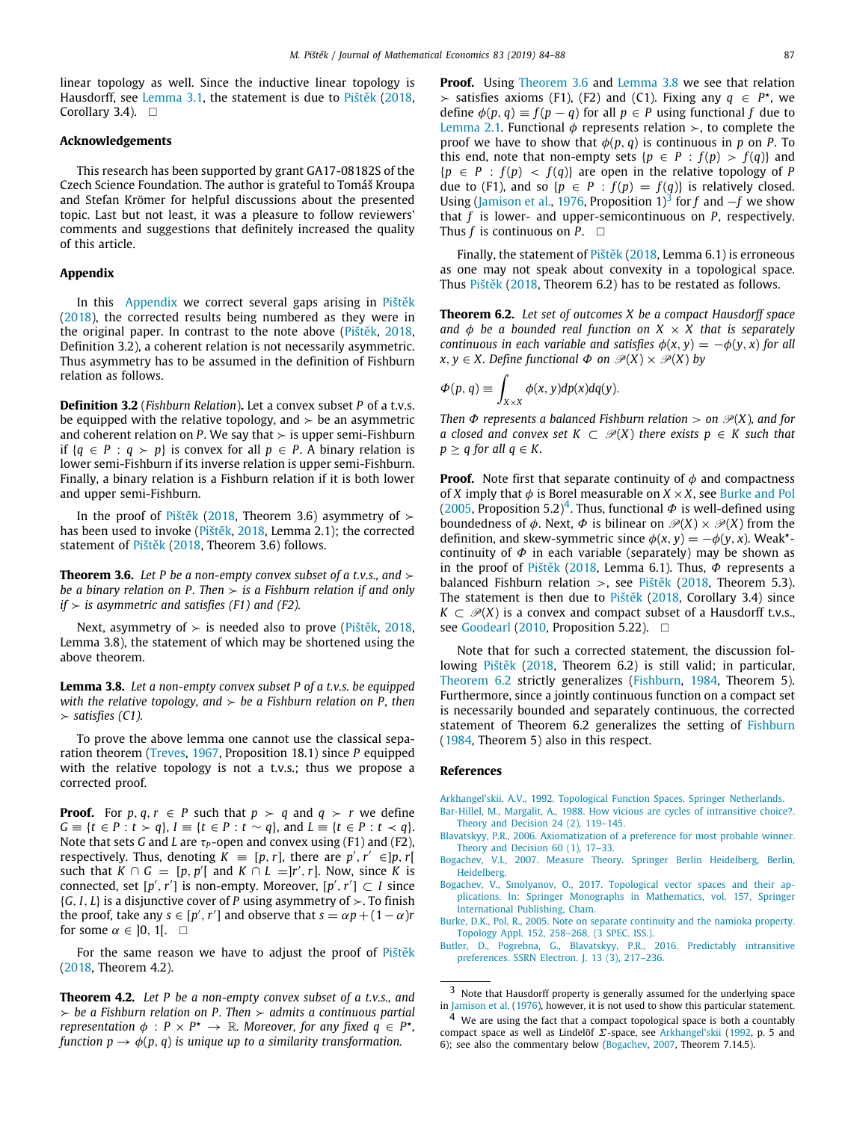linear topology as well. Since the inductive linear topology is Hausdorff, see [Lemma](#page-2-6) [3.1,](#page-2-6) the statement is due to [Pištěk](#page-4-8) [\(2018,](#page-4-8) Corollary 3.4).  $\square$ 

#### **Acknowledgements**

This research has been supported by grant GA17-08182S of the Czech Science Foundation. The author is grateful to Tomáš Kroupa and Stefan Krömer for helpful discussions about the presented topic. Last but not least, it was a pleasure to follow reviewers' comments and suggestions that definitely increased the quality of this article.

#### **Appendix**

<span id="page-3-4"></span>In this [Appendix](#page-3-4) we correct several gaps arising in [Pištěk](#page-4-8) ([2018\)](#page-4-8), the corrected results being numbered as they were in the original paper. In contrast to the note above ([Pištěk,](#page-4-8) [2018,](#page-4-8) Definition 3.2), a coherent relation is not necessarily asymmetric. Thus asymmetry has to be assumed in the definition of Fishburn relation as follows.

**Definition 3.2** (*Fishburn Relation*)**.** Let a convex subset *P* of a t.v.s. be equipped with the relative topology, and  $\geq$  be an asymmetric and coherent relation on *P*. We say that  $\geq$  is upper semi-Fishburn if {*q* ∈ *P* : *q* ≻ *p*} is convex for all *p* ∈ *P*. A binary relation is lower semi-Fishburn if its inverse relation is upper semi-Fishburn. Finally, a binary relation is a Fishburn relation if it is both lower and upper semi-Fishburn.

In the proof of [Pištěk](#page-4-8) [\(2018](#page-4-8), Theorem 3.6) asymmetry of  $\succ$ has been used to invoke ([Pištěk,](#page-4-8) [2018](#page-4-8), Lemma 2.1); the corrected statement of [Pištěk](#page-4-8) ([2018](#page-4-8), Theorem 3.6) follows.

**Theorem 3.6.** *Let P be a non-empty convex subset of a t.v.s., and*  $\succ$ *be a binary relation on P. Then* ≻ *is a Fishburn relation if and only if* ≻ *is asymmetric and satisfies (F1) and (F2).*

Next, asymmetry of  $>$  is needed also to prove [\(Pištěk](#page-4-8), [2018,](#page-4-8) Lemma 3.8), the statement of which may be shortened using the above theorem.

<span id="page-3-6"></span>**Lemma 3.8.** *Let a non-empty convex subset P of a t.v.s. be equipped with the relative topology, and* ≻ *be a Fishburn relation on P, then* ≻ *satisfies (C1).*

To prove the above lemma one cannot use the classical separation theorem [\(Treves](#page-4-13), [1967,](#page-4-13) Proposition 18.1) since *P* equipped with the relative topology is not a t.v.s.; thus we propose a corrected proof.

**Proof.** For  $p, q, r \in P$  such that  $p > q$  and  $q > r$  we define *G* ≡ {*t* ∈ *P* : *t* ≻ *q*}, *I* ≡ {*t* ∈ *P* : *t* ∼ *q*}, and *L* ≡ {*t* ∈ *P* : *t* ≺ *q*}. Note that sets *G* and *L* are  $\tau_P$ -open and convex using (F1) and (F2), respectively. Thus, denoting  $\vec{K} = [p, r]$ , there are  $p', r' \in ]p, r[$ such that  $K \cap G = [p, p']$  and  $K \cap L = ]r', r]$ . Now, since *K* is connected, set  $[p', r']$  is non-empty. Moreover,  $[p', r'] \subset I$  since {*G*, *I*, *L*} is a disjunctive cover of *P* using asymmetry of ≻. To finish the proof, take any  $s \in [p', r']$  and observe that  $s = \alpha p + (1 - \alpha)r$ for some  $\alpha \in ]0, 1[$ .  $\Box$ 

For the same reason we have to adjust the proof of [Pištěk](#page-4-8) ([2018,](#page-4-8) Theorem 4.2).

**Theorem 4.2.** *Let P be a non-empty convex subset of a t.v.s., and* ≻ *be a Fishburn relation on P. Then* ≻ *admits a continuous partial representation*  $\phi$  :  $P \times P^* \to \mathbb{R}$ . Moreover, for any fixed  $q \in P^*$ , *function*  $p \rightarrow \phi(p, q)$  *is unique up to a similarity transformation.* 

**Proof.** Using [Theorem](#page-3-5) [3.6](#page-3-5) and [Lemma](#page-3-6) [3.8](#page-3-6) we see that relation > satisfies axioms (F1), (F2) and (C1). Fixing any  $q \text{ ∈ } P^{\star}$ , we define  $\phi(p, q) \equiv f(p - q)$  for all  $p \in P$  using functional f due to [Lemma](#page-1-1) [2.1](#page-1-1). Functional  $\phi$  represents relation  $\succ$ , to complete the proof we have to show that  $\phi(p, q)$  is continuous in p on P. To this end, note that non-empty sets  ${p \in P : f(p) > f(q)}$  and  ${p \in P : f(p) < f(q)}$  are open in the relative topology of *P* due to (F1), and so { $p \in P : f(p) = f(q)$ } is relatively closed. Using ([Jamison et al.,](#page-4-14) [1976](#page-4-14), Proposition 1)<sup>[3](#page-3-7)</sup> for *f* and  $-f$  we show that *f* is lower- and upper-semicontinuous on *P*, respectively. Thus  $f$  is continuous on  $P$ .  $\Box$ 

Finally, the statement of [Pištěk](#page-4-8) ([2018,](#page-4-8) Lemma 6.1) is erroneous as one may not speak about convexity in a topological space. Thus [Pištěk](#page-4-8) [\(2018](#page-4-8), Theorem 6.2) has to be restated as follows.

<span id="page-3-10"></span>**Theorem 6.2.** *Let set of outcomes X be a compact Hausdorff space and*  $\phi$  *be a bounded real function on*  $X \times X$  *that is separately continuous in each variable and satisfies*  $\phi(x, y) = -\phi(y, x)$  *for all x*, *y* ∈ *X*. Define functional  $\Phi$  on  $\mathcal{P}(X) \times \mathcal{P}(X)$  by

$$
\Phi(p, q) \equiv \int_{X \times X} \phi(x, y) dp(x) dq(y).
$$

*Then*  $\Phi$  *represents* a balanced *Fishburn relation* > on  $\mathcal{P}(X)$ *, and for a* closed and convex set  $K \subset \mathcal{P}(X)$  there exists  $p \in K$  such that  $p > q$  for all  $q \in K$ .

<span id="page-3-5"></span>**Proof.** Note first that separate continuity of  $\phi$  and compactness of *X* imply that  $\phi$  is Borel measurable on  $X \times X$ , see [Burke and Pol](#page-3-8) ([2005,](#page-3-8) Proposition 5.2)<sup>[4](#page-3-9)</sup>. Thus, functional  $\Phi$  is well-defined using boundedness of  $\phi$ . Next,  $\Phi$  is bilinear on  $\mathcal{P}(X) \times \mathcal{P}(X)$  from the definition, and skew-symmetric since  $\phi(x, y) = -\phi(y, x)$ . Weak<sup>\*</sup>continuity of  $\Phi$  in each variable (separately) may be shown as in the proof of [Pištěk](#page-4-8) [\(2018](#page-4-8), Lemma 6.1). Thus,  $\Phi$  represents a balanced Fishburn relation >, see [Pištěk](#page-4-8) [\(2018](#page-4-8), Theorem 5.3). The statement is then due to [Pištěk](#page-4-8) [\(2018,](#page-4-8) Corollary 3.4) since  $K \subset \mathcal{P}(X)$  is a convex and compact subset of a Hausdorff t.v.s., see [Goodearl](#page-4-10) [\(2010](#page-4-10), Proposition 5.22). □

Note that for such a corrected statement, the discussion following [Pištěk](#page-4-8) ([2018,](#page-4-8) Theorem 6.2) is still valid; in particular, [Theorem](#page-3-10) [6.2](#page-3-10) strictly generalizes [\(Fishburn,](#page-4-15) [1984,](#page-4-15) Theorem 5). Furthermore, since a jointly continuous function on a compact set is necessarily bounded and separately continuous, the corrected statement of Theorem 6.2 generalizes the setting of [Fishburn](#page-4-15) ([1984,](#page-4-15) Theorem 5) also in this respect.

#### **References**

<span id="page-3-11"></span>[Arkhangel'skii, A.V., 1992. Topological Function Spaces. Springer Netherlands.](http://refhub.elsevier.com/S0304-4068(19)30047-3/sb1)

<span id="page-3-0"></span>[Bar-Hillel, M., Margalit, A., 1988. How vicious are cycles of intransitive choice?.](http://refhub.elsevier.com/S0304-4068(19)30047-3/sb2)

- <span id="page-3-2"></span>[Theory and Decision 24 \(2\), 119–145.](http://refhub.elsevier.com/S0304-4068(19)30047-3/sb2) [Blavatskyy, P.R., 2006. Axiomatization of a preference for most probable winner.](http://refhub.elsevier.com/S0304-4068(19)30047-3/sb3) [Theory and Decision 60 \(1\), 17–33.](http://refhub.elsevier.com/S0304-4068(19)30047-3/sb3)
- <span id="page-3-12"></span>[Bogachev, V.I., 2007. Measure Theory. Springer Berlin Heidelberg, Berlin,](http://refhub.elsevier.com/S0304-4068(19)30047-3/sb4) [Heidelberg.](http://refhub.elsevier.com/S0304-4068(19)30047-3/sb4)
- <span id="page-3-3"></span>[Bogachev, V., Smolyanov, O., 2017. Topological vector spaces and their ap](http://refhub.elsevier.com/S0304-4068(19)30047-3/sb5)[plications. In: Springer Monographs in Mathematics, vol. 157, Springer](http://refhub.elsevier.com/S0304-4068(19)30047-3/sb5) [International Publishing, Cham.](http://refhub.elsevier.com/S0304-4068(19)30047-3/sb5)
- <span id="page-3-8"></span>[Burke, D.K., Pol, R., 2005. Note on separate continuity and the namioka property.](http://refhub.elsevier.com/S0304-4068(19)30047-3/sb6) [Topology Appl. 152, 258–268, \(3 SPEC. ISS.\).](http://refhub.elsevier.com/S0304-4068(19)30047-3/sb6)
- <span id="page-3-1"></span>[Butler, D., Pogrebna, G., Blavatskyy, P.R., 2016. Predictably intransitive](http://refhub.elsevier.com/S0304-4068(19)30047-3/sb7) [preferences. SSRN Electron. J. 13 \(3\), 217–236.](http://refhub.elsevier.com/S0304-4068(19)30047-3/sb7)

<span id="page-3-7"></span>Note that Hausdorff property is generally assumed for the underlying space in [Jamison et al.](#page-4-14) [\(1976](#page-4-14)), however, it is not used to show this particular statement.

<span id="page-3-9"></span><sup>&</sup>lt;sup>4</sup> We are using the fact that a compact topological space is both a countably compact space as well as Lindelöf  $\Sigma$ -space, see [Arkhangel'skii](#page-3-11) ([1992](#page-3-11), p. 5 and 6); see also the commentary below ([Bogachev](#page-3-12), [2007,](#page-3-12) Theorem 7.14.5).